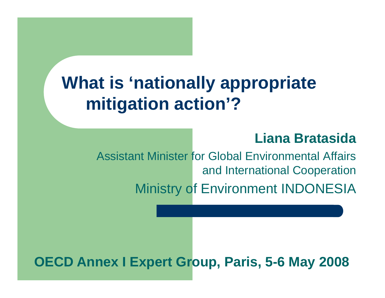## **What is 'nationally appropriate mitigation action'?**

#### **Liana Bratasida**

Assistant Minister for Global Environmental Affairs and International Cooperation

Ministry of Environment INDONESIA

#### **OECD Annex I Expert Group, Paris, 5-6 May 2008**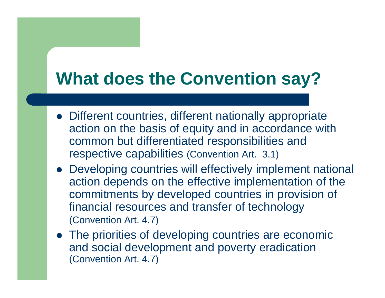## **What does the Convention say?**

- Different countries, different nationally appropriate action on the basis of equity and in accordance with common but differentiated responsibilities and respective capabilities (Convention Art. 3.1)
- Developing countries will effectively implement national action depends on the effective implementation of the commitments by developed countries in provision of financial resources and transfer of technology (Convention Art. 4.7)
- The priorities of developing countries are economic and social development and poverty eradication (Convention Art. 4.7)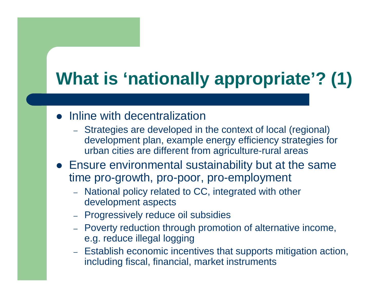# **What is 'nationally appropriate'? (1)**

- Inline with decentralization
	- Strategies are developed in the context of local (regional) development plan, example energy efficiency strategies for urban cities are different from agriculture-rural areas
- Ensure environmental sustainability but at the same time pro-growth, pro-poor, pro-employment
	- National policy related to CC, integrated with other development aspects
	- Progressively reduce oil subsidies
	- Poverty reduction through promotion of alternative income, e.g. reduce illegal logging
	- Establish economic incentives that supports mitigation action, including fiscal, financial, market instruments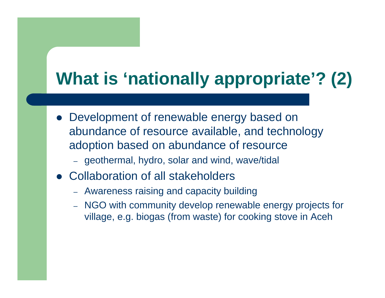# **What is 'nationally appropriate'? (2)**

- Development of renewable energy based on abundance of resource available, and technology adoption based on abundance of resource
	- geothermal, hydro, solar and wind, wave/tidal
- Collaboration of all stakeholders
	- Awareness raising and capacity building
	- NGO with community develop renewable energy projects for village, e.g. biogas (from waste) for cooking stove in Aceh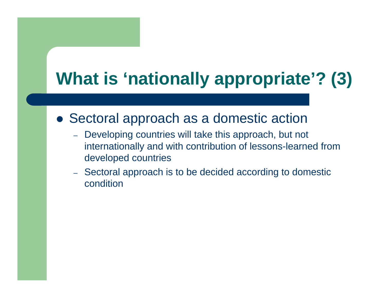# **What is 'nationally appropriate'? (3)**

#### • Sectoral approach as a domestic action

- Developing countries will take this approach, but not internationally and with contribution of lessons-learned from developed countries
- Sectoral approach is to be decided according to domestic condition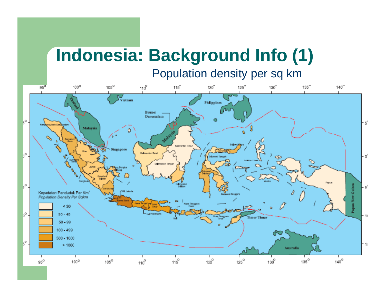### **Indonesia: Background Info (1)** Population density per sq km

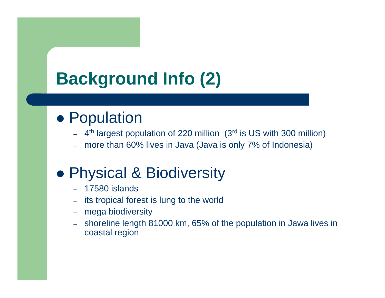# **Background Info (2)**

### **• Population**

- –4th largest population of 220 million (3rd is US with 300 million)
- –more than 60% lives in Java (Java is only 7% of Indonesia)

## **• Physical & Biodiversity**

- –17580 islands
- –its tropical forest is lung to the world
- –mega biodiversity
- – shoreline length 81000 km, 65% of the population in Jawa lives in coastal region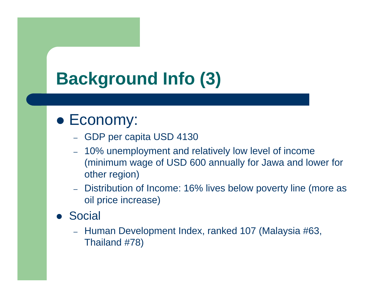# **Background Info (3)**

#### • Economy:

- GDP per capita USD 4130
- 10% unemployment and relatively low level of income (minimum wage of USD 600 annually for Jawa and lower for other region)
- – Distribution of Income: 16% lives below poverty line (more as oil price increase)
- **Social** 
	- Human Development Index, ranked 107 (Malaysia #63, Thailand #78)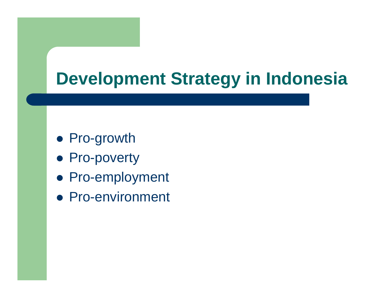## **Development Strategy in Indonesia**

- Pro-growth
- Pro-poverty
- Pro-employment
- Pro-environment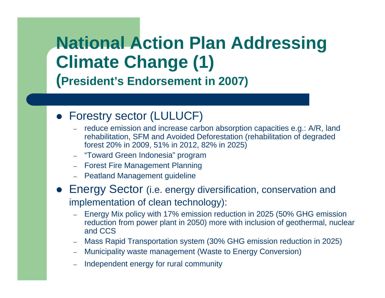## **National Action Plan Addressing Climate Change (1) (President's Endorsement in 2007)**

#### • Forestry sector (LULUCF)

- reduce emission and increase carbon absorption capacities e.g.: A/R, land rehabilitation, SFM and Avoided Deforestation (rehabilitation of degraded forest 20% in 2009, 51% in 2012, 82% in 2025)
- "Toward Green Indonesia" program
- Forest Fire Management Planning
- Peatland Management guideline
- **Energy Sector** (i.e. energy diversification, conservation and implementation of clean technology):
	- Energy Mix policy with 17% emission reduction in 2025 (50% GHG emission reduction from power plant in 2050) more with inclusion of geothermal, nuclear and CCS
	- Mass Rapid Transportation system (30% GHG emission reduction in 2025)
	- Municipality waste management (Waste to Energy Conversion)
	- Independent energy for rural community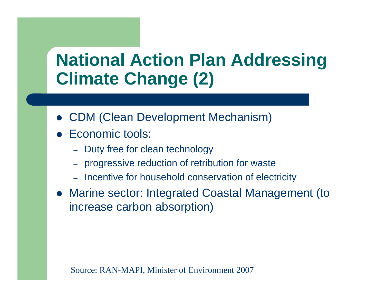## **National Action Plan Addressing Climate Change (2)**

- CDM (Clean Development Mechanism)
- Economic tools:
	- Duty free for clean technology
	- progressive reduction of retribution for waste
	- Incentive for household conservation of electricity
- Marine sector: Integrated Coastal Management (to increase carbon absorption)

Source: RAN-MAPI, Minister of Environment 2007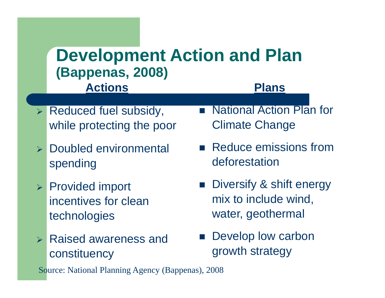#### **ActionsPlansDevelopment Action and Plan (Bappenas, 2008)**

- ¾ Reduced fuel subsidy, while protecting the poor
- ¾ Doubled environmental spending
- ¾ Provided import incentives for clean technologies
- $\blacktriangleright$  Raised awareness and constituency
- National Action Plan for Climate Change
- **Reduce emissions from** deforestation
- **Diversify & shift energy** mix to include wind, water, geothermal
- **Develop low carbon** growth strategy

Source: National Planning Agency (Bappenas), 2008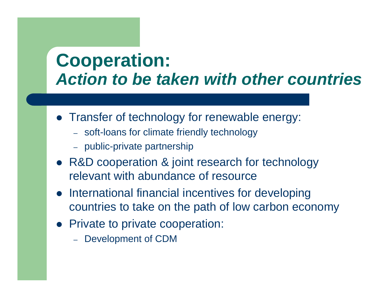## **Cooperation:** *Action to be taken with other countries*

- Transfer of technology for renewable energy:
	- soft-loans for climate friendly technology
	- public-private partnership
- R&D cooperation & joint research for technology relevant with abundance of resource
- International financial incentives for developing countries to take on the path of low carbon economy
- Private to private cooperation:
	- Development of CDM